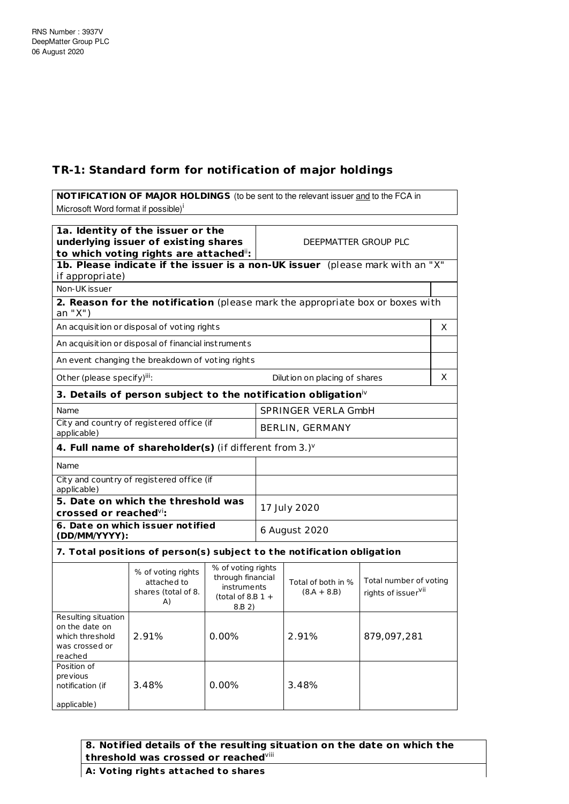## **TR-1: Standard form for notification of major holdings**

**NOTIFICATION OF MAJOR HOLDINGS** (to be sent to the relevant issuer and to the FCA in Microsoft Word format if possible)<sup>i</sup> **1a. Identity of the issuer or the underlying issuer of existing shares to which voting rights are attached** ii**:** DEEPMATTER GROUP PLC **1b. Please indicate if the issuer is a non-UK issuer** (please mark with an "X" if appropriate) Non-UK issuer **2. Reason for the notification** (please mark the appropriate box or boxes with an "X") An acquisition or disposal of voting rights X An acquisition or disposal of financial inst ruments An event changing the breakdown of voting rights Other (please specify)<sup>iii</sup>: Dilution on placing of shares  $\begin{vmatrix} \phantom{-}X \end{vmatrix}$ **3. Details of person subject to the notification obligation** iv Name SPRINGER VERLA GmbH City and count ry of registered office (if City and country or registered office (if  $\begin{array}{c} \text{BERLIN, GERMANY} \end{array}$ **4. Full name of shareholder(s)** (if different from 3.) v Name City and country of registered office (if applicable) **5. Date on which the threshold was crossed or reached** vi**:** 17 July 2020 **6. Date on which issuer not ified (DD/MM/YYYY):** 6 August 2020 **7. Total posit ions of person(s) subject to the not ificat ion obligat ion** % of voting rights attached to shares (total of 8. % of voting rights through financial instruments  $(tot$ d of 9.B 1 + Total of both in %  $(8.A + 8.B)$ Total number of voting rights of issuer<sup>vii</sup>

|                                                                                       | A)    | ⊤ בנטנסו טוט.<br>8.B 2) |       |             |
|---------------------------------------------------------------------------------------|-------|-------------------------|-------|-------------|
| Resulting situation<br>on the date on<br>which threshold<br>was crossed or<br>reached | 2.91% | 0.00%                   | 2.91% | 879,097,281 |
| Position of<br>previous<br>notification (if<br>applicable)                            | 3.48% | 0.00%                   | 3.48% |             |

**8. Notified details of the resulting situation on the date on which the threshold was crossed or reached** viii

**A: Vot ing rights at tached to shares**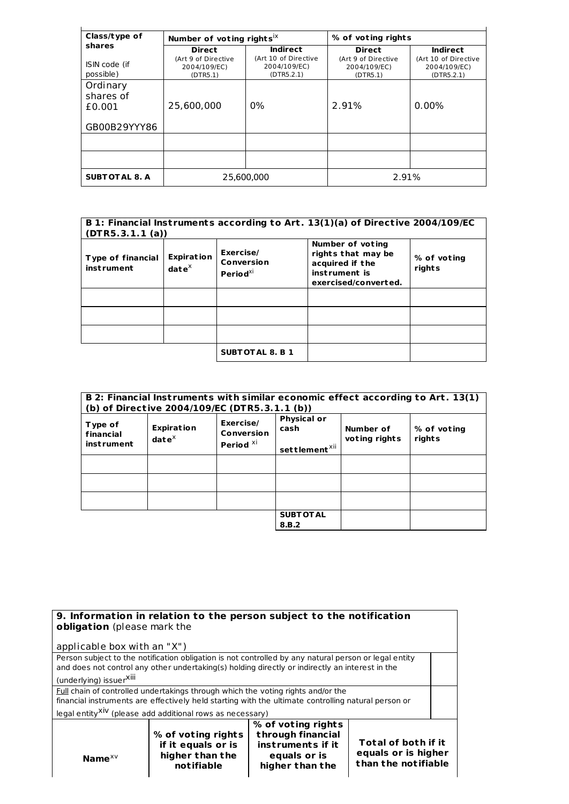| Class/type of                                   | Number of voting rights <sup>ix</sup>           |                                                    | % of voting rights                              |                                                    |
|-------------------------------------------------|-------------------------------------------------|----------------------------------------------------|-------------------------------------------------|----------------------------------------------------|
| shares                                          | <b>Direct</b>                                   | <b>Indirect</b>                                    | <b>Direct</b>                                   | <b>Indirect</b>                                    |
| ISIN code (if<br>possible)                      | (Art 9 of Directive<br>2004/109/EC)<br>(DTR5.1) | (Art 10 of Directive<br>2004/109/EC)<br>(DTR5.2.1) | (Art 9 of Directive<br>2004/109/EC)<br>(DTR5.1) | (Art 10 of Directive<br>2004/109/EC)<br>(DTR5.2.1) |
| Ordinary<br>shares of<br>£0.001<br>GB00B29YYY86 | 25,600,000                                      | $0\%$                                              | 2.91%                                           | $0.00\%$                                           |
|                                                 |                                                 |                                                    |                                                 |                                                    |
|                                                 |                                                 |                                                    |                                                 |                                                    |
| <b>SUBT OT AL 8. A</b>                          | 25,600,000                                      |                                                    | 2.91%                                           |                                                    |

| B 1: Financial Instruments according to Art. 13(1)(a) of Directive 2004/109/EC<br>(DTR5.3.1.1(a)) |                                             |                                               |                                                                                                    |                       |
|---------------------------------------------------------------------------------------------------|---------------------------------------------|-----------------------------------------------|----------------------------------------------------------------------------------------------------|-----------------------|
| <b>Type of financial</b><br><b>instrument</b>                                                     | <b>Expiration</b><br>$\mathbf{date}^\times$ | Exercise/<br>Conversion<br>Period $^{\chi i}$ | Number of voting<br>rights that may be<br>acquired if the<br>instrument is<br>exercised/converted. | % of voting<br>rights |
|                                                                                                   |                                             |                                               |                                                                                                    |                       |
|                                                                                                   |                                             |                                               |                                                                                                    |                       |
|                                                                                                   |                                             |                                               |                                                                                                    |                       |
|                                                                                                   |                                             | <b>SUBTOTAL 8. B 1</b>                        |                                                                                                    |                       |

|                                           | (b) of Directive 2004/109/EC (DTR5.3.1.1 (b)) |                                                        |                                                         |                            | B 2: Financial Instruments with similar economic effect according to Art. 13(1) |
|-------------------------------------------|-----------------------------------------------|--------------------------------------------------------|---------------------------------------------------------|----------------------------|---------------------------------------------------------------------------------|
| Type of<br>financial<br><b>instrument</b> | <b>Expiration</b><br>$\mathbf{date}^\times$   | Exercise/<br><b>Conversion</b><br>Period <sup>xi</sup> | <b>Physical or</b><br>cash<br>settlement <sup>xii</sup> | Number of<br>voting rights | % of voting<br>rights                                                           |
|                                           |                                               |                                                        |                                                         |                            |                                                                                 |
|                                           |                                               |                                                        |                                                         |                            |                                                                                 |
|                                           |                                               |                                                        |                                                         |                            |                                                                                 |
|                                           |                                               |                                                        | <b>SUBT OT AL</b><br>8.B.2                              |                            |                                                                                 |

|                                                                                                     | 9. Information in relation to the person subject to the notification                                  |                    |                     |  |
|-----------------------------------------------------------------------------------------------------|-------------------------------------------------------------------------------------------------------|--------------------|---------------------|--|
| obligation (please mark the                                                                         |                                                                                                       |                    |                     |  |
|                                                                                                     |                                                                                                       |                    |                     |  |
| applicable box with an "X")                                                                         |                                                                                                       |                    |                     |  |
|                                                                                                     | Person subject to the notification obligation is not controlled by any natural person or legal entity |                    |                     |  |
|                                                                                                     | and does not control any other undertaking(s) holding directly or indirectly an interest in the       |                    |                     |  |
| (underlying) issuerXill                                                                             |                                                                                                       |                    |                     |  |
| Full chain of controlled undertakings through which the voting rights and/or the                    |                                                                                                       |                    |                     |  |
| financial instruments are effectively held starting with the ultimate controlling natural person or |                                                                                                       |                    |                     |  |
| legal entity <sup>XiV</sup> (please add additional rows as necessary)                               |                                                                                                       |                    |                     |  |
|                                                                                                     |                                                                                                       | % of voting rights |                     |  |
|                                                                                                     | % of voting rights                                                                                    | through financial  |                     |  |
|                                                                                                     | if it equals or is                                                                                    | instruments if it  | Total of both if it |  |
| Name $XV$                                                                                           | higher than the                                                                                       | equals or is       | equals or is higher |  |
|                                                                                                     | not ifiable                                                                                           | higher than the    | than the notifiable |  |
|                                                                                                     |                                                                                                       |                    |                     |  |